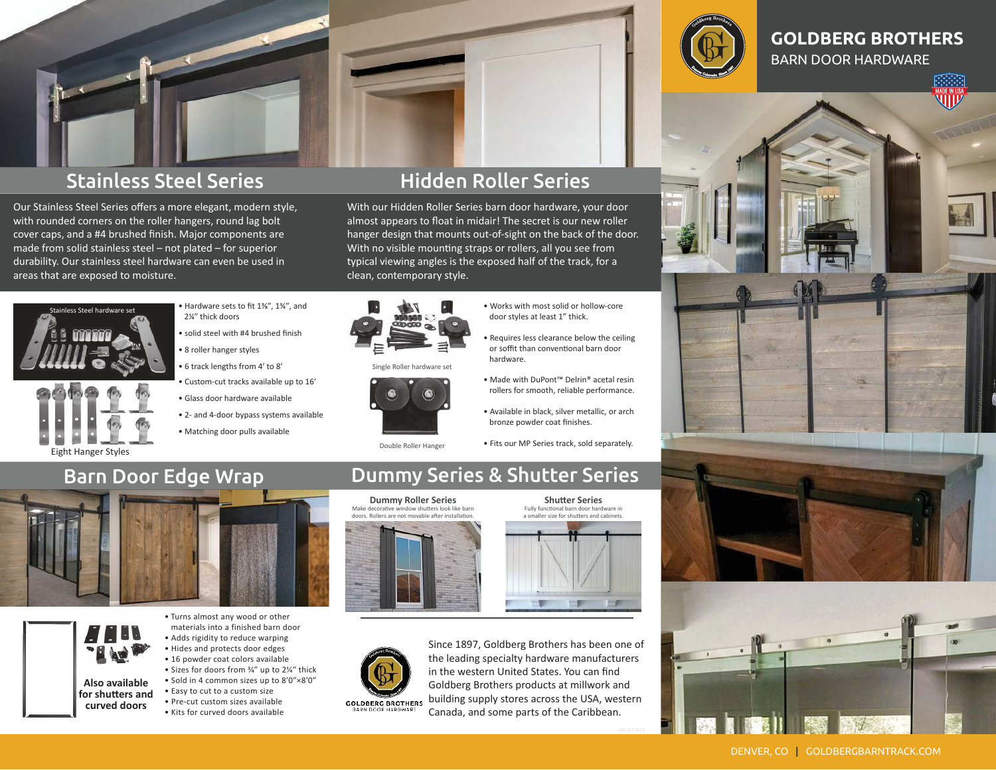

# Stainless Steel Series

Our Stainless Steel Series offers a more elegant, modern style, with rounded corners on the roller hangers, round lag bolt cover caps, and a #4 brushed finish. Major components are made from solid stainless steel – not plated – for superior durability. Our stainless steel hardware can even be used in areas that are exposed to moisture.

# Hidden Roller Series

With our Hidden Roller Series barn door hardware, your door almost appears to float in midair! The secret is our new roller hanger design that mounts out-of-sight on the back of the door. With no visible mounting straps or rollers, all you see from typical viewing angles is the exposed half of the track, for a clean, contemporary style.



Eight Hanger Styles

- Hardware sets to fit 1⅜ʺ, 1¾ʺ, and 2¼" thick doors
- solid steel with #4 brushed finish • 8 roller hanger styles
- 6 track lengths from 4ʹ to 8ʹ
- Custom-cut tracks available up to 16ʹ
- Glass door hardware available
- 2- and 4-door bypass systems available
- Matching door pulls available



Single Roller hardware set



Double Roller Hanger

- Works with most solid or hollow-core door styles at least 1" thick.
- Requires less clearance below the ceiling or soffit than conventional barn door hardware.
- Made with DuPont™ Delrin® acetal resin rollers for smooth, reliable performance.
- Available in black, silver metallic, or arch bronze powder coat finishes.
- Fits our MP Series track, sold separately.

Fully functional barn door hardware in a smaller size for shutters and cabinets.

## Barn Door Edge Wrap





**Also available for shutters and curved doors**

• Turns almost any wood or other materials into a finished barn door • Adds rigidity to reduce warping • Hides and protects door edges • 16 powder coat colors available • Sizes for doors from 3/4" up to 21/4" thick • Sold in 4 common sizes up to 8'0"×8'0" • Easy to cut to a custom size • Pre-cut custom sizes available • Kits for curved doors available

#### Dummy Series & Shutter Series **Shutter Series**





Since 1897, Goldberg Brothers has been one of the leading specialty hardware manufacturers in the western United States. You can find Goldberg Brothers products at millwork and building supply stores across the USA, western Canada, and some parts of the Caribbean.



#### **GOLDBERG BROTHERS** BARN DOOR HARDWARE